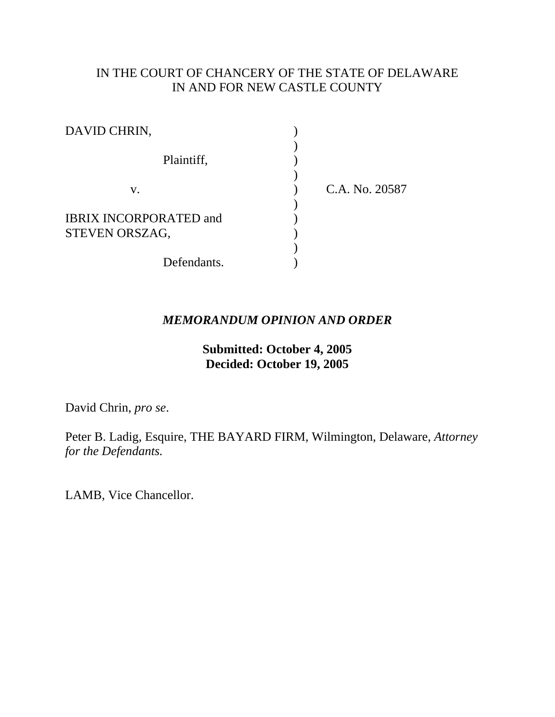# IN THE COURT OF CHANCERY OF THE STATE OF DELAWARE IN AND FOR NEW CASTLE COUNTY

| DAVID CHRIN,                                    |                |
|-------------------------------------------------|----------------|
| Plaintiff,                                      |                |
| V.                                              | C.A. No. 20587 |
| <b>IBRIX INCORPORATED and</b><br>STEVEN ORSZAG, |                |
| Defendants.                                     |                |

# *MEMORANDUM OPINION AND ORDER*

# **Submitted: October 4, 2005 Decided: October 19, 2005**

David Chrin, *pro se*.

Peter B. Ladig, Esquire, THE BAYARD FIRM, Wilmington, Delaware, *Attorney for the Defendants.*

LAMB, Vice Chancellor.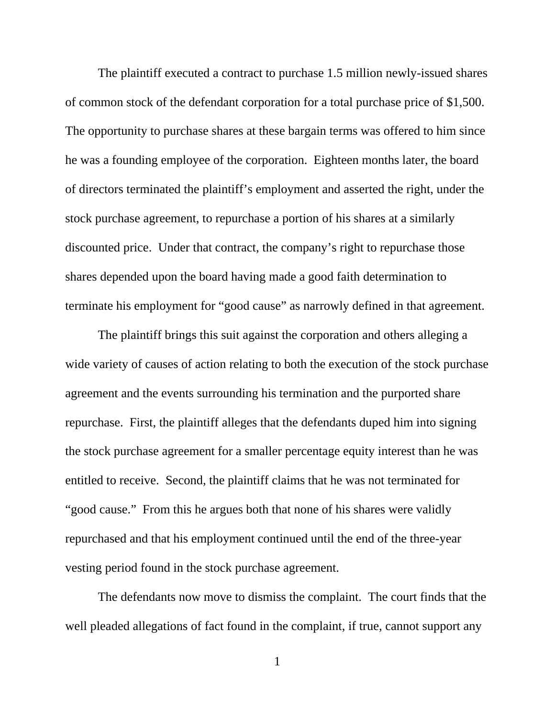The plaintiff executed a contract to purchase 1.5 million newly-issued shares of common stock of the defendant corporation for a total purchase price of \$1,500. The opportunity to purchase shares at these bargain terms was offered to him since he was a founding employee of the corporation. Eighteen months later, the board of directors terminated the plaintiff's employment and asserted the right, under the stock purchase agreement, to repurchase a portion of his shares at a similarly discounted price. Under that contract, the company's right to repurchase those shares depended upon the board having made a good faith determination to terminate his employment for "good cause" as narrowly defined in that agreement.

The plaintiff brings this suit against the corporation and others alleging a wide variety of causes of action relating to both the execution of the stock purchase agreement and the events surrounding his termination and the purported share repurchase. First, the plaintiff alleges that the defendants duped him into signing the stock purchase agreement for a smaller percentage equity interest than he was entitled to receive. Second, the plaintiff claims that he was not terminated for "good cause." From this he argues both that none of his shares were validly repurchased and that his employment continued until the end of the three-year vesting period found in the stock purchase agreement.

The defendants now move to dismiss the complaint. The court finds that the well pleaded allegations of fact found in the complaint, if true, cannot support any

1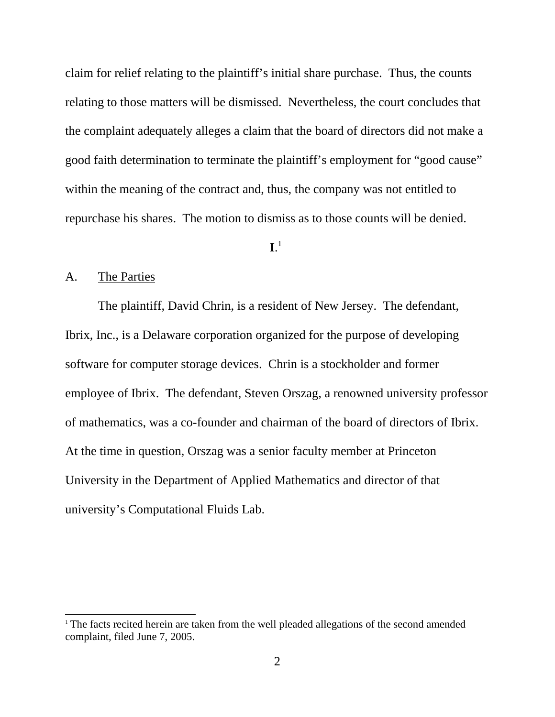claim for relief relating to the plaintiff's initial share purchase. Thus, the counts relating to those matters will be dismissed. Nevertheless, the court concludes that the complaint adequately alleges a claim that the board of directors did not make a good faith determination to terminate the plaintiff's employment for "good cause" within the meaning of the contract and, thus, the company was not entitled to repurchase his shares. The motion to dismiss as to those counts will be denied.

# $\mathbf{I}$ <sup>1</sup>

## A. The Parties

The plaintiff, David Chrin, is a resident of New Jersey. The defendant, Ibrix, Inc., is a Delaware corporation organized for the purpose of developing software for computer storage devices. Chrin is a stockholder and former employee of Ibrix. The defendant, Steven Orszag, a renowned university professor of mathematics, was a co-founder and chairman of the board of directors of Ibrix. At the time in question, Orszag was a senior faculty member at Princeton University in the Department of Applied Mathematics and director of that university's Computational Fluids Lab.

<sup>&</sup>lt;sup>1</sup> The facts recited herein are taken from the well pleaded allegations of the second amended complaint, filed June 7, 2005.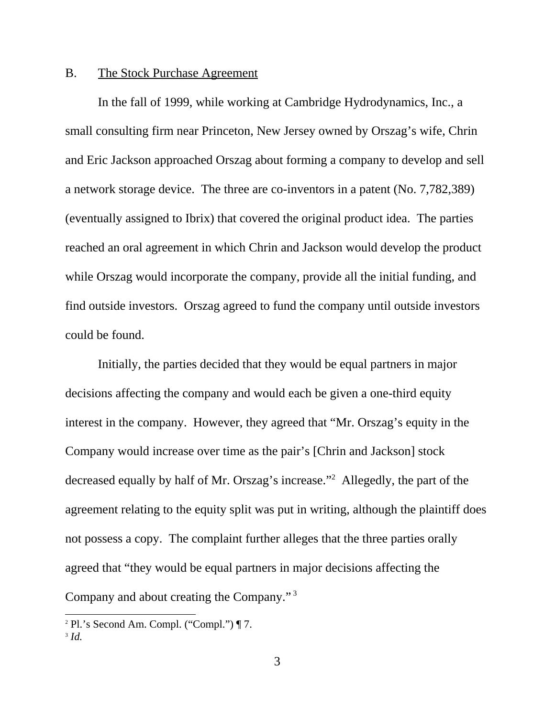### B. The Stock Purchase Agreement

In the fall of 1999, while working at Cambridge Hydrodynamics, Inc., a small consulting firm near Princeton, New Jersey owned by Orszag's wife, Chrin and Eric Jackson approached Orszag about forming a company to develop and sell a network storage device. The three are co-inventors in a patent (No. 7,782,389) (eventually assigned to Ibrix) that covered the original product idea. The parties reached an oral agreement in which Chrin and Jackson would develop the product while Orszag would incorporate the company, provide all the initial funding, and find outside investors. Orszag agreed to fund the company until outside investors could be found.

Initially, the parties decided that they would be equal partners in major decisions affecting the company and would each be given a one-third equity interest in the company. However, they agreed that "Mr. Orszag's equity in the Company would increase over time as the pair's [Chrin and Jackson] stock decreased equally by half of Mr. Orszag's increase."2 Allegedly, the part of the agreement relating to the equity split was put in writing, although the plaintiff does not possess a copy. The complaint further alleges that the three parties orally agreed that "they would be equal partners in major decisions affecting the Company and about creating the Company." 3

<sup>2</sup> Pl.'s Second Am. Compl. ("Compl.") ¶ 7.

<sup>3</sup> *Id.*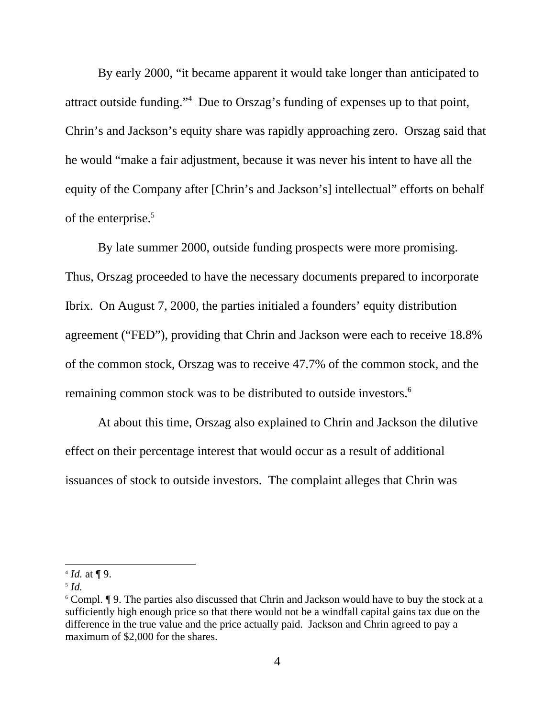By early 2000, "it became apparent it would take longer than anticipated to attract outside funding."4 Due to Orszag's funding of expenses up to that point, Chrin's and Jackson's equity share was rapidly approaching zero. Orszag said that he would "make a fair adjustment, because it was never his intent to have all the equity of the Company after [Chrin's and Jackson's] intellectual" efforts on behalf of the enterprise.<sup>5</sup>

By late summer 2000, outside funding prospects were more promising. Thus, Orszag proceeded to have the necessary documents prepared to incorporate Ibrix. On August 7, 2000, the parties initialed a founders' equity distribution agreement ("FED"), providing that Chrin and Jackson were each to receive 18.8% of the common stock, Orszag was to receive 47.7% of the common stock, and the remaining common stock was to be distributed to outside investors.<sup>6</sup>

At about this time, Orszag also explained to Chrin and Jackson the dilutive effect on their percentage interest that would occur as a result of additional issuances of stock to outside investors. The complaint alleges that Chrin was

 $4$  *Id.* at ¶ 9.

<sup>5</sup> *Id.*

<sup>&</sup>lt;sup>6</sup> Compl. If 9. The parties also discussed that Chrin and Jackson would have to buy the stock at a sufficiently high enough price so that there would not be a windfall capital gains tax due on the difference in the true value and the price actually paid. Jackson and Chrin agreed to pay a maximum of \$2,000 for the shares.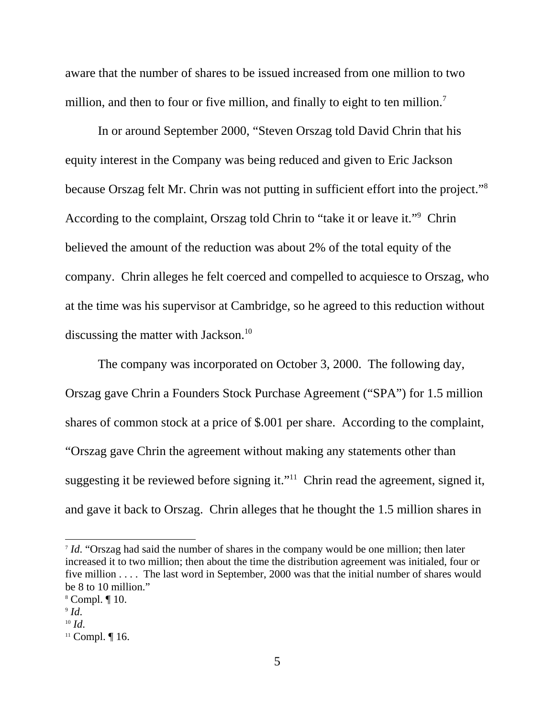aware that the number of shares to be issued increased from one million to two million, and then to four or five million, and finally to eight to ten million.<sup>7</sup>

In or around September 2000, "Steven Orszag told David Chrin that his equity interest in the Company was being reduced and given to Eric Jackson because Orszag felt Mr. Chrin was not putting in sufficient effort into the project."8 According to the complaint, Orszag told Chrin to "take it or leave it."<sup>9</sup> Chrin believed the amount of the reduction was about 2% of the total equity of the company. Chrin alleges he felt coerced and compelled to acquiesce to Orszag, who at the time was his supervisor at Cambridge, so he agreed to this reduction without discussing the matter with Jackson.<sup>10</sup>

The company was incorporated on October 3, 2000. The following day, Orszag gave Chrin a Founders Stock Purchase Agreement ("SPA") for 1.5 million shares of common stock at a price of \$.001 per share. According to the complaint, "Orszag gave Chrin the agreement without making any statements other than suggesting it be reviewed before signing it."<sup>11</sup> Chrin read the agreement, signed it, and gave it back to Orszag. Chrin alleges that he thought the 1.5 million shares in

<sup>&</sup>lt;sup>7</sup> *Id.* "Orszag had said the number of shares in the company would be one million; then later increased it to two million; then about the time the distribution agreement was initialed, four or five million . . . . The last word in September, 2000 was that the initial number of shares would be 8 to 10 million."

<sup>8</sup> Compl. ¶ 10.

 $9$  Id.

*Id*. 10 *Id*. 11 Compl. ¶ 16.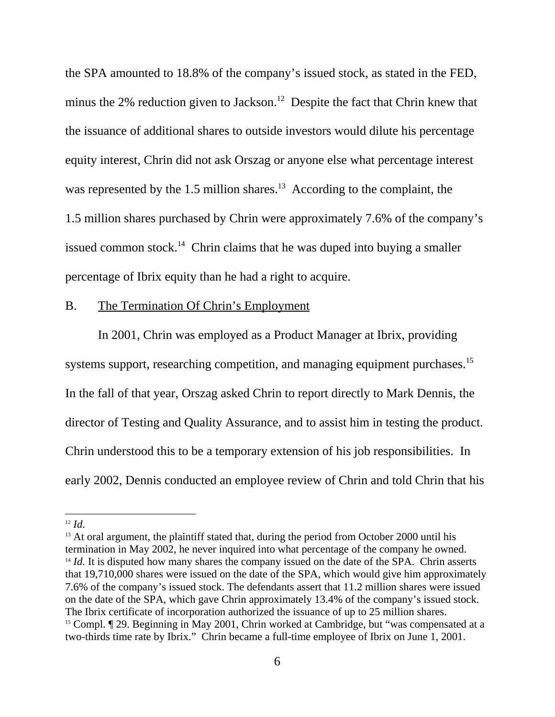the SPA amounted to 18.8% of the company's issued stock, as stated in the FED, minus the 2% reduction given to Jackson.<sup>12</sup> Despite the fact that Chrin knew that the issuance of additional shares to outside investors would dilute his percentage equity interest, Chrin did not ask Orszag or anyone else what percentage interest was represented by the 1.5 million shares.<sup>13</sup> According to the complaint, the 1.5 million shares purchased by Chrin were approximately 7.6% of the company's issued common stock.<sup>14</sup> Chrin claims that he was duped into buying a smaller percentage of Ibrix equity than he had a right to acquire.

# B. The Termination Of Chrin's Employment

In 2001, Chrin was employed as a Product Manager at Ibrix, providing systems support, researching competition, and managing equipment purchases.<sup>15</sup> In the fall of that year, Orszag asked Chrin to report directly to Mark Dennis, the director of Testing and Quality Assurance, and to assist him in testing the product. Chrin understood this to be a temporary extension of his job responsibilities. In early 2002, Dennis conducted an employee review of Chrin and told Chrin that his

<sup>&</sup>lt;sup>12</sup> *Id*. <sup>13</sup> At oral argument, the plaintiff stated that, during the period from October 2000 until his termination in May 2002, he never inquired into what percentage of the company he owned. <sup>14</sup> *Id*. It is disputed how many shares the company issued on the date of the SPA. Chrin asserts that 19,710,000 shares were issued on the date of the SPA, which would give him approximately 7.6% of the company's issued stock. The defendants assert that 11.2 million shares were issued on the date of the SPA, which gave Chrin approximately 13.4% of the company's issued stock. The Ibrix certificate of incorporation authorized the issuance of up to 25 million shares. <sup>15</sup> Compl. If 29. Beginning in May 2001, Chrin worked at Cambridge, but "was compensated at a two-thirds time rate by Ibrix." Chrin became a full-time employee of Ibrix on June 1, 2001.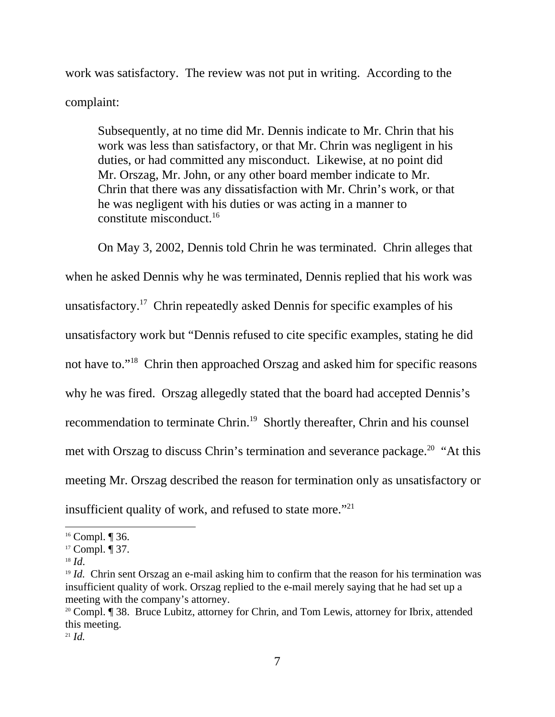work was satisfactory. The review was not put in writing. According to the complaint:

Subsequently, at no time did Mr. Dennis indicate to Mr. Chrin that his work was less than satisfactory, or that Mr. Chrin was negligent in his duties, or had committed any misconduct. Likewise, at no point did Mr. Orszag, Mr. John, or any other board member indicate to Mr. Chrin that there was any dissatisfaction with Mr. Chrin's work, or that he was negligent with his duties or was acting in a manner to constitute misconduct.16

On May 3, 2002, Dennis told Chrin he was terminated. Chrin alleges that when he asked Dennis why he was terminated, Dennis replied that his work was unsatisfactory.17 Chrin repeatedly asked Dennis for specific examples of his unsatisfactory work but "Dennis refused to cite specific examples, stating he did not have to."18 Chrin then approached Orszag and asked him for specific reasons why he was fired. Orszag allegedly stated that the board had accepted Dennis's recommendation to terminate Chrin.<sup>19</sup> Shortly thereafter, Chrin and his counsel met with Orszag to discuss Chrin's termination and severance package.<sup>20</sup> "At this meeting Mr. Orszag described the reason for termination only as unsatisfactory or insufficient quality of work, and refused to state more."<sup>21</sup>

<sup>&</sup>lt;sup>16</sup> Compl. ¶ 36.

<sup>17</sup> Compl. ¶ 37.

<sup>&</sup>lt;sup>18</sup> *Id*. Chrin sent Orszag an e-mail asking him to confirm that the reason for his termination was insufficient quality of work. Orszag replied to the e-mail merely saying that he had set up a meeting with the company's attorney.

<sup>&</sup>lt;sup>20</sup> Compl. ¶ 38. Bruce Lubitz, attorney for Chrin, and Tom Lewis, attorney for Ibrix, attended this meeting.

<sup>21</sup> *Id.*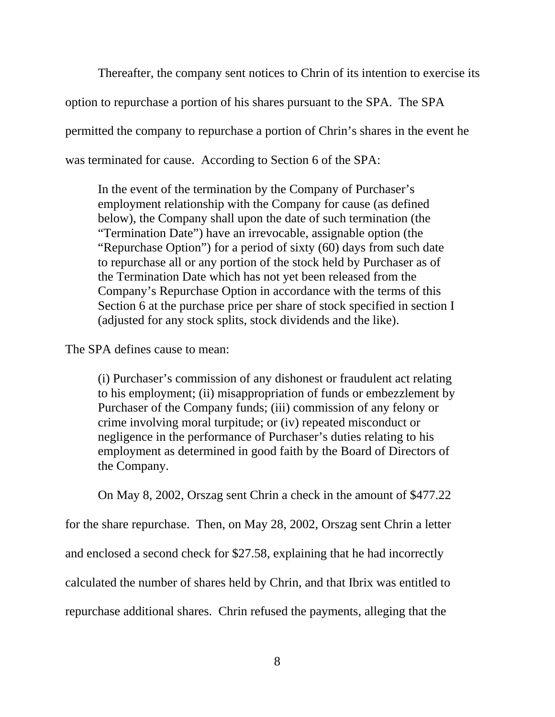Thereafter, the company sent notices to Chrin of its intention to exercise its option to repurchase a portion of his shares pursuant to the SPA. The SPA permitted the company to repurchase a portion of Chrin's shares in the event he was terminated for cause. According to Section 6 of the SPA:

In the event of the termination by the Company of Purchaser's employment relationship with the Company for cause (as defined below), the Company shall upon the date of such termination (the "Termination Date") have an irrevocable, assignable option (the "Repurchase Option") for a period of sixty (60) days from such date to repurchase all or any portion of the stock held by Purchaser as of the Termination Date which has not yet been released from the Company's Repurchase Option in accordance with the terms of this Section 6 at the purchase price per share of stock specified in section I (adjusted for any stock splits, stock dividends and the like).

## The SPA defines cause to mean:

(i) Purchaser's commission of any dishonest or fraudulent act relating to his employment; (ii) misappropriation of funds or embezzlement by Purchaser of the Company funds; (iii) commission of any felony or crime involving moral turpitude; or (iv) repeated misconduct or negligence in the performance of Purchaser's duties relating to his employment as determined in good faith by the Board of Directors of the Company.

On May 8, 2002, Orszag sent Chrin a check in the amount of \$477.22

for the share repurchase. Then, on May 28, 2002, Orszag sent Chrin a letter

and enclosed a second check for \$27.58, explaining that he had incorrectly

calculated the number of shares held by Chrin, and that Ibrix was entitled to

repurchase additional shares. Chrin refused the payments, alleging that the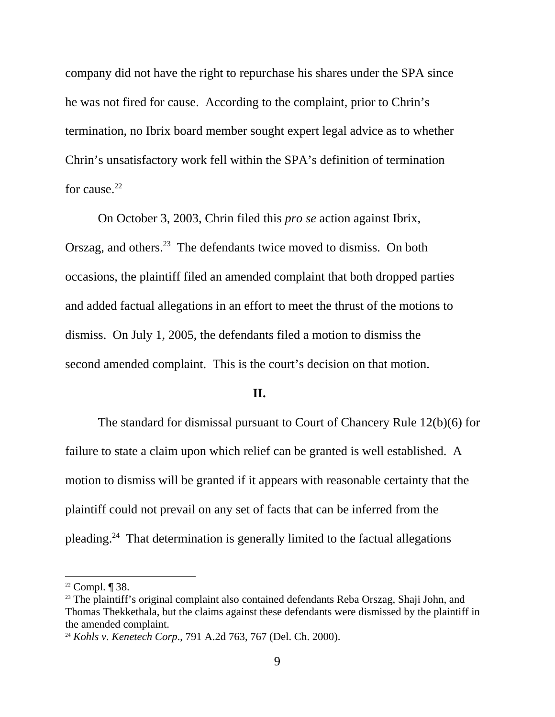company did not have the right to repurchase his shares under the SPA since he was not fired for cause. According to the complaint, prior to Chrin's termination, no Ibrix board member sought expert legal advice as to whether Chrin's unsatisfactory work fell within the SPA's definition of termination for cause. $22$ 

On October 3, 2003, Chrin filed this *pro se* action against Ibrix, Orszag, and others.<sup>23</sup> The defendants twice moved to dismiss. On both occasions, the plaintiff filed an amended complaint that both dropped parties and added factual allegations in an effort to meet the thrust of the motions to dismiss. On July 1, 2005, the defendants filed a motion to dismiss the second amended complaint. This is the court's decision on that motion.

### **II.**

The standard for dismissal pursuant to Court of Chancery Rule 12(b)(6) for failure to state a claim upon which relief can be granted is well established. A motion to dismiss will be granted if it appears with reasonable certainty that the plaintiff could not prevail on any set of facts that can be inferred from the pleading.24 That determination is generally limited to the factual allegations

 $22$  Compl.  $\P$  38.

<sup>&</sup>lt;sup>23</sup> The plaintiff's original complaint also contained defendants Reba Orszag, Shaji John, and Thomas Thekkethala, but the claims against these defendants were dismissed by the plaintiff in the amended complaint.

<sup>24</sup> *Kohls v. Kenetech Corp*., 791 A.2d 763, 767 (Del. Ch. 2000).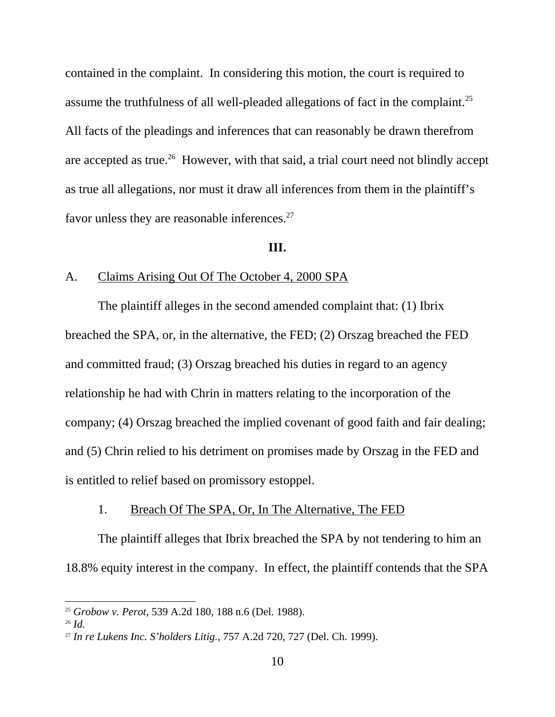contained in the complaint. In considering this motion, the court is required to assume the truthfulness of all well-pleaded allegations of fact in the complaint.<sup>25</sup> All facts of the pleadings and inferences that can reasonably be drawn therefrom are accepted as true.<sup>26</sup> However, with that said, a trial court need not blindly accept as true all allegations, nor must it draw all inferences from them in the plaintiff's favor unless they are reasonable inferences.<sup>27</sup>

#### **III.**

### A. Claims Arising Out Of The October 4, 2000 SPA

The plaintiff alleges in the second amended complaint that: (1) Ibrix breached the SPA, or, in the alternative, the FED; (2) Orszag breached the FED and committed fraud; (3) Orszag breached his duties in regard to an agency relationship he had with Chrin in matters relating to the incorporation of the company; (4) Orszag breached the implied covenant of good faith and fair dealing; and (5) Chrin relied to his detriment on promises made by Orszag in the FED and is entitled to relief based on promissory estoppel.

### 1. Breach Of The SPA, Or, In The Alternative, The FED

The plaintiff alleges that Ibrix breached the SPA by not tendering to him an 18.8% equity interest in the company. In effect, the plaintiff contends that the SPA

<sup>25</sup> *Grobow v. Perot*, 539 A.2d 180, 188 n.6 (Del. 1988). 26 *Id.*

<sup>27</sup> *In re Lukens Inc. S'holders Litig.,* 757 A.2d 720, 727 (Del. Ch. 1999).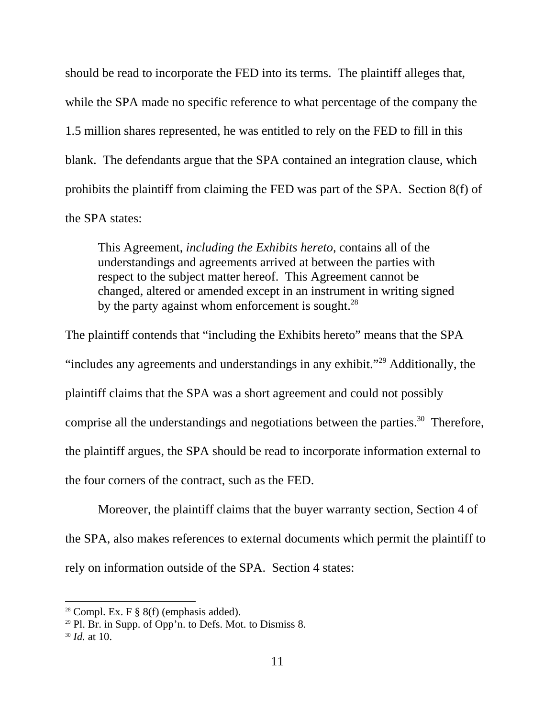should be read to incorporate the FED into its terms. The plaintiff alleges that, while the SPA made no specific reference to what percentage of the company the 1.5 million shares represented, he was entitled to rely on the FED to fill in this blank. The defendants argue that the SPA contained an integration clause, which prohibits the plaintiff from claiming the FED was part of the SPA. Section 8(f) of the SPA states:

This Agreement, *including the Exhibits hereto,* contains all of the understandings and agreements arrived at between the parties with respect to the subject matter hereof. This Agreement cannot be changed, altered or amended except in an instrument in writing signed by the party against whom enforcement is sought.<sup>28</sup>

The plaintiff contends that "including the Exhibits hereto" means that the SPA "includes any agreements and understandings in any exhibit."29 Additionally, the plaintiff claims that the SPA was a short agreement and could not possibly comprise all the understandings and negotiations between the parties.<sup>30</sup> Therefore, the plaintiff argues, the SPA should be read to incorporate information external to the four corners of the contract, such as the FED.

Moreover, the plaintiff claims that the buyer warranty section, Section 4 of the SPA, also makes references to external documents which permit the plaintiff to rely on information outside of the SPA. Section 4 states:

<sup>&</sup>lt;sup>28</sup> Compl. Ex. F  $\S$  8(f) (emphasis added).

<sup>29</sup> Pl. Br. in Supp. of Opp'n. to Defs. Mot. to Dismiss 8.

<sup>30</sup> *Id.* at 10.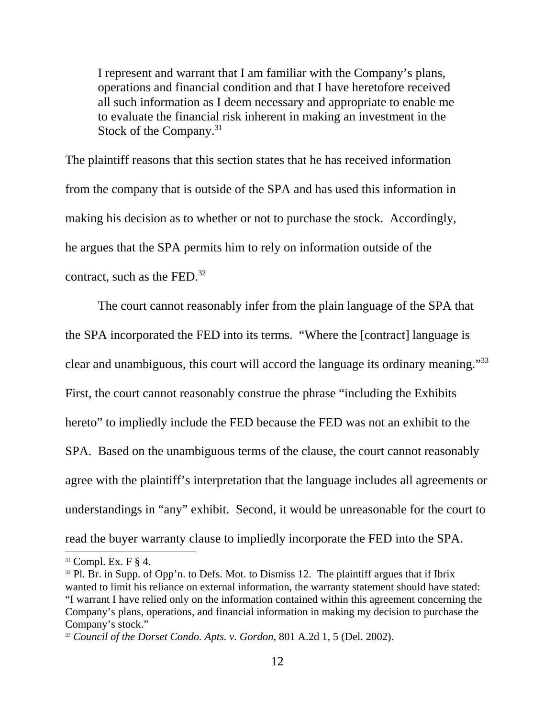I represent and warrant that I am familiar with the Company's plans, operations and financial condition and that I have heretofore received all such information as I deem necessary and appropriate to enable me to evaluate the financial risk inherent in making an investment in the Stock of the Company. $31$ 

The plaintiff reasons that this section states that he has received information from the company that is outside of the SPA and has used this information in making his decision as to whether or not to purchase the stock. Accordingly, he argues that the SPA permits him to rely on information outside of the contract, such as the FED. $32$ 

The court cannot reasonably infer from the plain language of the SPA that the SPA incorporated the FED into its terms. "Where the [contract] language is clear and unambiguous, this court will accord the language its ordinary meaning."33 First, the court cannot reasonably construe the phrase "including the Exhibits hereto" to impliedly include the FED because the FED was not an exhibit to the SPA. Based on the unambiguous terms of the clause, the court cannot reasonably agree with the plaintiff's interpretation that the language includes all agreements or understandings in "any" exhibit. Second, it would be unreasonable for the court to read the buyer warranty clause to impliedly incorporate the FED into the SPA.

 $31$  Compl. Ex. F  $\S$  4.

 $32$  Pl. Br. in Supp. of Opp'n. to Defs. Mot. to Dismiss 12. The plaintiff argues that if Ibrix wanted to limit his reliance on external information, the warranty statement should have stated: "I warrant I have relied only on the information contained within this agreement concerning the Company's plans, operations, and financial information in making my decision to purchase the Company's stock."

<sup>33</sup> *Council of the Dorset Condo. Apts. v. Gordon*, 801 A.2d 1, 5 (Del. 2002).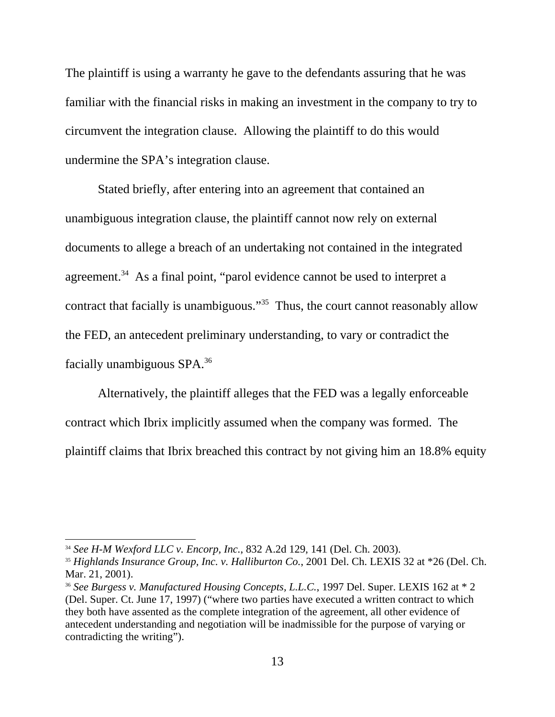The plaintiff is using a warranty he gave to the defendants assuring that he was familiar with the financial risks in making an investment in the company to try to circumvent the integration clause. Allowing the plaintiff to do this would undermine the SPA's integration clause.

Stated briefly, after entering into an agreement that contained an unambiguous integration clause, the plaintiff cannot now rely on external documents to allege a breach of an undertaking not contained in the integrated agreement.<sup>34</sup> As a final point, "parol evidence cannot be used to interpret a contract that facially is unambiguous."<sup>35</sup> Thus, the court cannot reasonably allow the FED, an antecedent preliminary understanding, to vary or contradict the facially unambiguous SPA.36

Alternatively, the plaintiff alleges that the FED was a legally enforceable contract which Ibrix implicitly assumed when the company was formed. The plaintiff claims that Ibrix breached this contract by not giving him an 18.8% equity

<sup>34</sup> *See H-M Wexford LLC v. Encorp, Inc.*, 832 A.2d 129, 141 (Del. Ch. 2003).

<sup>35</sup> *Highlands Insurance Group, Inc. v. Halliburton Co.*, 2001 Del. Ch. LEXIS 32 at \*26 (Del. Ch. Mar. 21, 2001).

<sup>&</sup>lt;sup>36</sup> See Burgess v. Manufactured Housing Concepts, L.L.C., 1997 Del. Super. LEXIS 162 at \* 2 (Del. Super. Ct. June 17, 1997) ("where two parties have executed a written contract to which they both have assented as the complete integration of the agreement, all other evidence of antecedent understanding and negotiation will be inadmissible for the purpose of varying or contradicting the writing").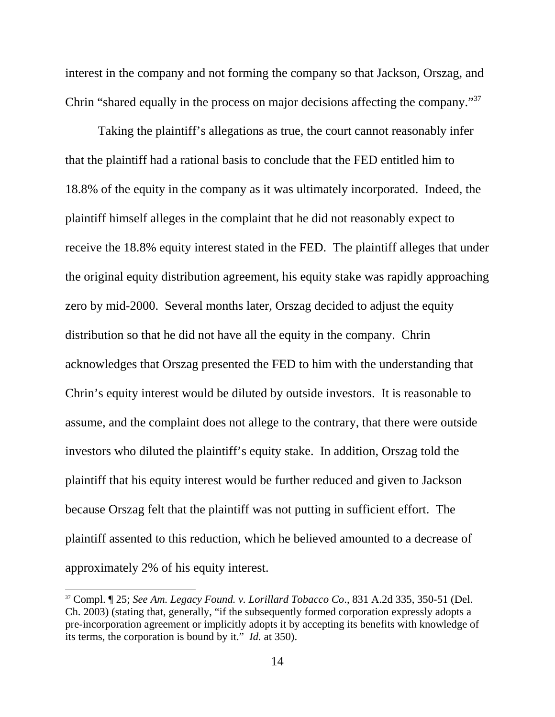interest in the company and not forming the company so that Jackson, Orszag, and Chrin "shared equally in the process on major decisions affecting the company."37

Taking the plaintiff's allegations as true, the court cannot reasonably infer that the plaintiff had a rational basis to conclude that the FED entitled him to 18.8% of the equity in the company as it was ultimately incorporated. Indeed, the plaintiff himself alleges in the complaint that he did not reasonably expect to receive the 18.8% equity interest stated in the FED. The plaintiff alleges that under the original equity distribution agreement, his equity stake was rapidly approaching zero by mid-2000. Several months later, Orszag decided to adjust the equity distribution so that he did not have all the equity in the company. Chrin acknowledges that Orszag presented the FED to him with the understanding that Chrin's equity interest would be diluted by outside investors. It is reasonable to assume, and the complaint does not allege to the contrary, that there were outside investors who diluted the plaintiff's equity stake. In addition, Orszag told the plaintiff that his equity interest would be further reduced and given to Jackson because Orszag felt that the plaintiff was not putting in sufficient effort. The plaintiff assented to this reduction, which he believed amounted to a decrease of approximately 2% of his equity interest.

<sup>37</sup> Compl. ¶ 25; *See Am. Legacy Found. v. Lorillard Tobacco Co*., 831 A.2d 335, 350-51 (Del. Ch. 2003) (stating that, generally, "if the subsequently formed corporation expressly adopts a pre-incorporation agreement or implicitly adopts it by accepting its benefits with knowledge of its terms, the corporation is bound by it." *Id.* at 350).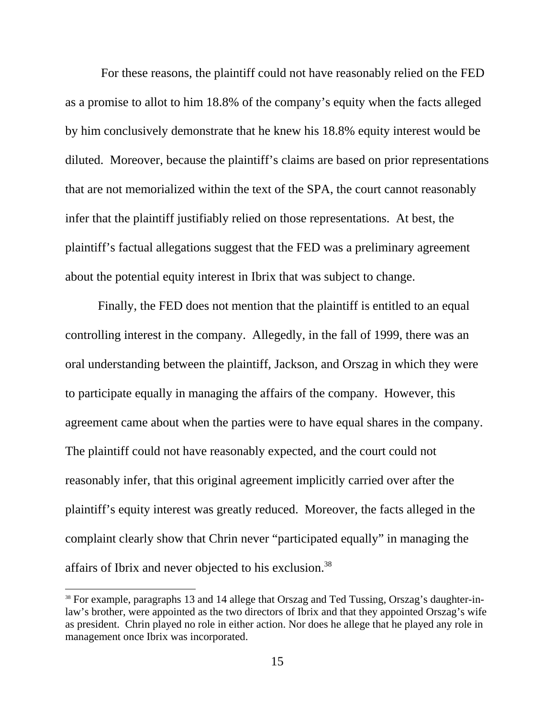For these reasons, the plaintiff could not have reasonably relied on the FED as a promise to allot to him 18.8% of the company's equity when the facts alleged by him conclusively demonstrate that he knew his 18.8% equity interest would be diluted. Moreover, because the plaintiff's claims are based on prior representations that are not memorialized within the text of the SPA, the court cannot reasonably infer that the plaintiff justifiably relied on those representations. At best, the plaintiff's factual allegations suggest that the FED was a preliminary agreement about the potential equity interest in Ibrix that was subject to change.

Finally, the FED does not mention that the plaintiff is entitled to an equal controlling interest in the company. Allegedly, in the fall of 1999, there was an oral understanding between the plaintiff, Jackson, and Orszag in which they were to participate equally in managing the affairs of the company. However, this agreement came about when the parties were to have equal shares in the company. The plaintiff could not have reasonably expected, and the court could not reasonably infer, that this original agreement implicitly carried over after the plaintiff's equity interest was greatly reduced. Moreover, the facts alleged in the complaint clearly show that Chrin never "participated equally" in managing the affairs of Ibrix and never objected to his exclusion.38

<sup>&</sup>lt;sup>38</sup> For example, paragraphs 13 and 14 allege that Orszag and Ted Tussing, Orszag's daughter-inlaw's brother, were appointed as the two directors of Ibrix and that they appointed Orszag's wife as president. Chrin played no role in either action. Nor does he allege that he played any role in management once Ibrix was incorporated.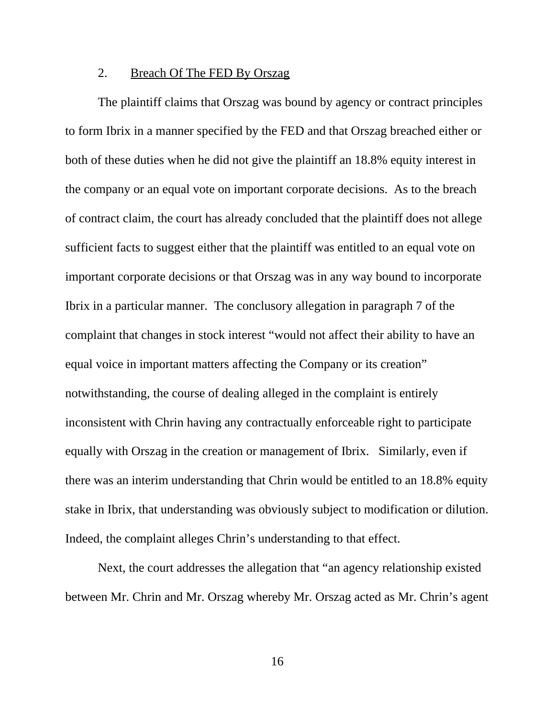### 2. Breach Of The FED By Orszag

The plaintiff claims that Orszag was bound by agency or contract principles to form Ibrix in a manner specified by the FED and that Orszag breached either or both of these duties when he did not give the plaintiff an 18.8% equity interest in the company or an equal vote on important corporate decisions. As to the breach of contract claim, the court has already concluded that the plaintiff does not allege sufficient facts to suggest either that the plaintiff was entitled to an equal vote on important corporate decisions or that Orszag was in any way bound to incorporate Ibrix in a particular manner. The conclusory allegation in paragraph 7 of the complaint that changes in stock interest "would not affect their ability to have an equal voice in important matters affecting the Company or its creation" notwithstanding, the course of dealing alleged in the complaint is entirely inconsistent with Chrin having any contractually enforceable right to participate equally with Orszag in the creation or management of Ibrix. Similarly, even if there was an interim understanding that Chrin would be entitled to an 18.8% equity stake in Ibrix, that understanding was obviously subject to modification or dilution. Indeed, the complaint alleges Chrin's understanding to that effect.

Next, the court addresses the allegation that "an agency relationship existed between Mr. Chrin and Mr. Orszag whereby Mr. Orszag acted as Mr. Chrin's agent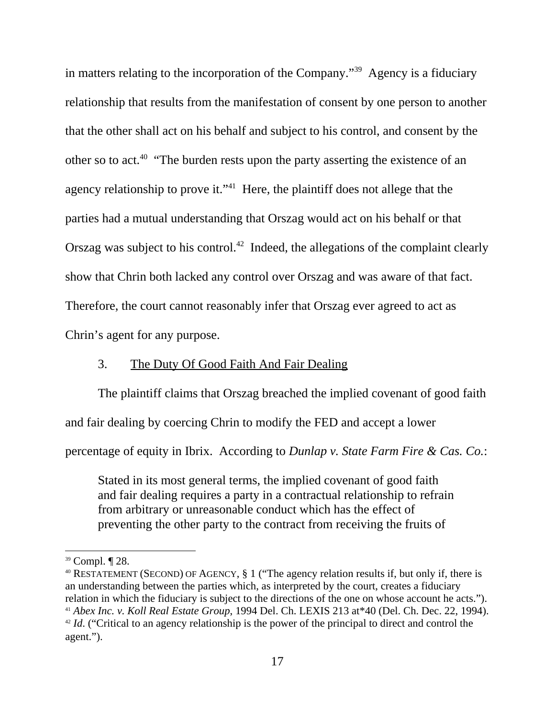in matters relating to the incorporation of the Company."39 Agency is a fiduciary relationship that results from the manifestation of consent by one person to another that the other shall act on his behalf and subject to his control, and consent by the other so to act.40 "The burden rests upon the party asserting the existence of an agency relationship to prove it."<sup>41</sup> Here, the plaintiff does not allege that the parties had a mutual understanding that Orszag would act on his behalf or that Orszag was subject to his control.<sup>42</sup> Indeed, the allegations of the complaint clearly show that Chrin both lacked any control over Orszag and was aware of that fact. Therefore, the court cannot reasonably infer that Orszag ever agreed to act as Chrin's agent for any purpose.

# 3. The Duty Of Good Faith And Fair Dealing

The plaintiff claims that Orszag breached the implied covenant of good faith

and fair dealing by coercing Chrin to modify the FED and accept a lower

percentage of equity in Ibrix. According to *Dunlap v. State Farm Fire & Cas. Co.*:

Stated in its most general terms, the implied covenant of good faith and fair dealing requires a party in a contractual relationship to refrain from arbitrary or unreasonable conduct which has the effect of preventing the other party to the contract from receiving the fruits of

<sup>39</sup> Compl. ¶ 28.

<sup>&</sup>lt;sup>40</sup> RESTATEMENT (SECOND) OF AGENCY, § 1 ("The agency relation results if, but only if, there is an understanding between the parties which, as interpreted by the court, creates a fiduciary relation in which the fiduciary is subject to the directions of the one on whose account he acts."). <sup>41</sup> *Abex Inc. v. Koll Real Estate Group*, 1994 Del. Ch. LEXIS 213 at \*40 (Del. Ch. Dec. 22, 1994). <sup>42</sup> *Id.* ("Critical to an agency relationship is the power of the principal to direct and control the agent.").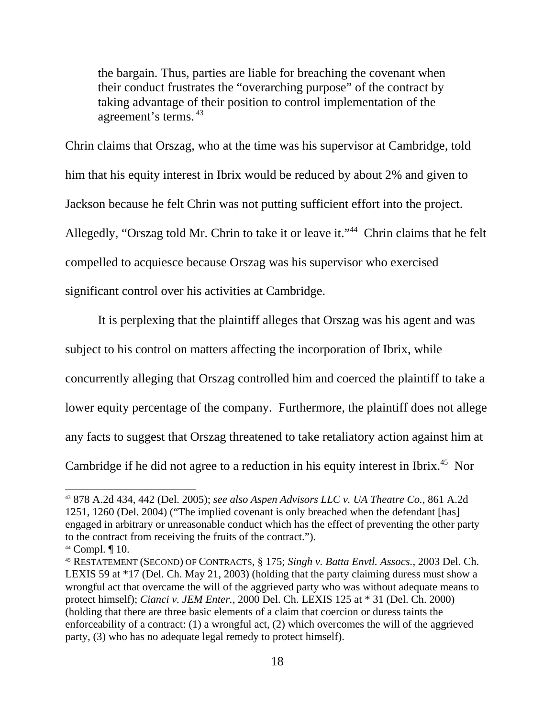the bargain. Thus, parties are liable for breaching the covenant when their conduct frustrates the "overarching purpose" of the contract by taking advantage of their position to control implementation of the agreement's terms. <sup>43</sup>

Chrin claims that Orszag, who at the time was his supervisor at Cambridge, told him that his equity interest in Ibrix would be reduced by about 2% and given to Jackson because he felt Chrin was not putting sufficient effort into the project. Allegedly, "Orszag told Mr. Chrin to take it or leave it."<sup>44</sup> Chrin claims that he felt compelled to acquiesce because Orszag was his supervisor who exercised significant control over his activities at Cambridge.

It is perplexing that the plaintiff alleges that Orszag was his agent and was subject to his control on matters affecting the incorporation of Ibrix, while concurrently alleging that Orszag controlled him and coerced the plaintiff to take a lower equity percentage of the company. Furthermore, the plaintiff does not allege any facts to suggest that Orszag threatened to take retaliatory action against him at Cambridge if he did not agree to a reduction in his equity interest in Ibrix.<sup>45</sup> Nor

<sup>43 878</sup> A.2d 434, 442 (Del. 2005); *see also Aspen Advisors LLC v. UA Theatre Co.*, 861 A.2d 1251, 1260 (Del. 2004) ("The implied covenant is only breached when the defendant [has] engaged in arbitrary or unreasonable conduct which has the effect of preventing the other party to the contract from receiving the fruits of the contract.").

<sup>44</sup> Compl. ¶ 10.

<sup>45</sup> RESTATEMENT (SECOND) OF CONTRACTS, § 175; *Singh v. Batta Envtl. Assocs.*, 2003 Del. Ch. LEXIS 59 at \*17 (Del. Ch. May 21, 2003) (holding that the party claiming duress must show a wrongful act that overcame the will of the aggrieved party who was without adequate means to protect himself); *Cianci v. JEM Enter.*, 2000 Del. Ch. LEXIS 125 at \* 31 (Del. Ch. 2000) (holding that there are three basic elements of a claim that coercion or duress taints the enforceability of a contract: (1) a wrongful act, (2) which overcomes the will of the aggrieved party, (3) who has no adequate legal remedy to protect himself).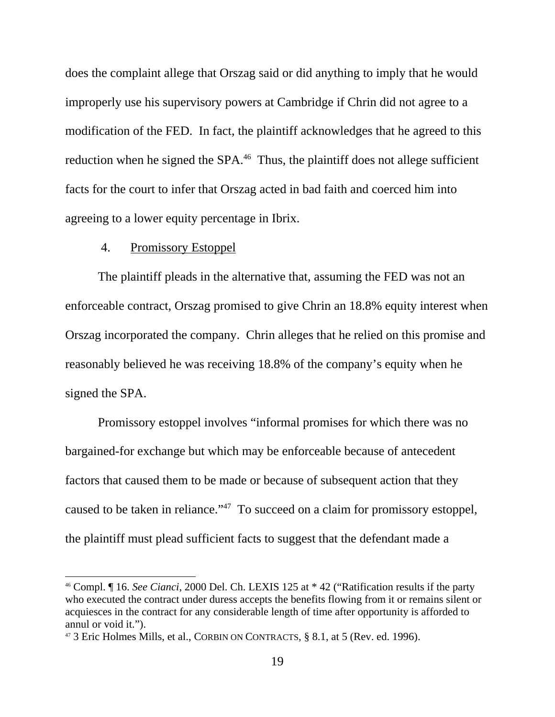does the complaint allege that Orszag said or did anything to imply that he would improperly use his supervisory powers at Cambridge if Chrin did not agree to a modification of the FED. In fact, the plaintiff acknowledges that he agreed to this reduction when he signed the SPA.<sup>46</sup> Thus, the plaintiff does not allege sufficient facts for the court to infer that Orszag acted in bad faith and coerced him into agreeing to a lower equity percentage in Ibrix.

### 4. Promissory Estoppel

The plaintiff pleads in the alternative that, assuming the FED was not an enforceable contract, Orszag promised to give Chrin an 18.8% equity interest when Orszag incorporated the company. Chrin alleges that he relied on this promise and reasonably believed he was receiving 18.8% of the company's equity when he signed the SPA.

Promissory estoppel involves "informal promises for which there was no bargained-for exchange but which may be enforceable because of antecedent factors that caused them to be made or because of subsequent action that they caused to be taken in reliance."47 To succeed on a claim for promissory estoppel, the plaintiff must plead sufficient facts to suggest that the defendant made a

<sup>46</sup> Compl. ¶ 16. *See Cianci*, 2000 Del. Ch. LEXIS 125 at \* 42 ("Ratification results if the party who executed the contract under duress accepts the benefits flowing from it or remains silent or acquiesces in the contract for any considerable length of time after opportunity is afforded to annul or void it.").

<sup>47 3</sup> Eric Holmes Mills, et al., CORBIN ON CONTRACTS*,* § 8.1, at 5 (Rev. ed. 1996).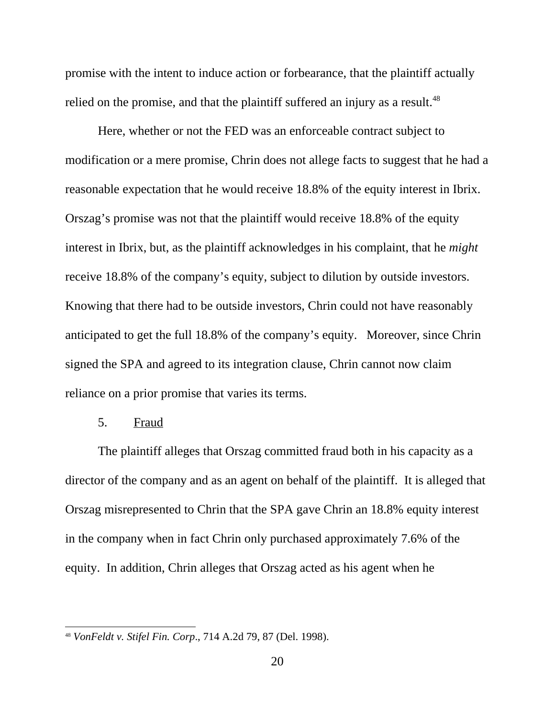promise with the intent to induce action or forbearance, that the plaintiff actually relied on the promise, and that the plaintiff suffered an injury as a result.<sup>48</sup>

Here, whether or not the FED was an enforceable contract subject to modification or a mere promise, Chrin does not allege facts to suggest that he had a reasonable expectation that he would receive 18.8% of the equity interest in Ibrix. Orszag's promise was not that the plaintiff would receive 18.8% of the equity interest in Ibrix, but, as the plaintiff acknowledges in his complaint, that he *might* receive 18.8% of the company's equity, subject to dilution by outside investors. Knowing that there had to be outside investors, Chrin could not have reasonably anticipated to get the full 18.8% of the company's equity. Moreover, since Chrin signed the SPA and agreed to its integration clause, Chrin cannot now claim reliance on a prior promise that varies its terms.

5. Fraud

The plaintiff alleges that Orszag committed fraud both in his capacity as a director of the company and as an agent on behalf of the plaintiff. It is alleged that Orszag misrepresented to Chrin that the SPA gave Chrin an 18.8% equity interest in the company when in fact Chrin only purchased approximately 7.6% of the equity. In addition, Chrin alleges that Orszag acted as his agent when he

<sup>48</sup> *VonFeldt v. Stifel Fin. Corp*., 714 A.2d 79, 87 (Del. 1998).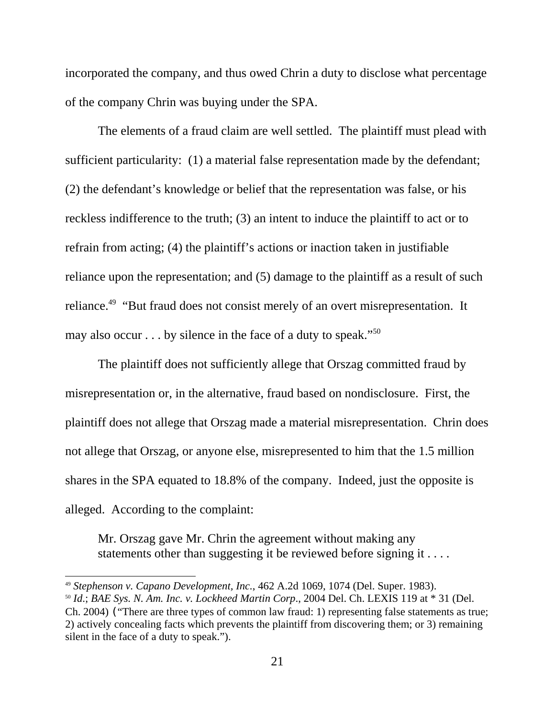incorporated the company, and thus owed Chrin a duty to disclose what percentage of the company Chrin was buying under the SPA.

The elements of a fraud claim are well settled. The plaintiff must plead with sufficient particularity: (1) a material false representation made by the defendant; (2) the defendant's knowledge or belief that the representation was false, or his reckless indifference to the truth; (3) an intent to induce the plaintiff to act or to refrain from acting; (4) the plaintiff's actions or inaction taken in justifiable reliance upon the representation; and (5) damage to the plaintiff as a result of such reliance.<sup>49</sup> "But fraud does not consist merely of an overt misrepresentation. It may also occur  $\dots$  by silence in the face of a duty to speak."<sup>50</sup>

The plaintiff does not sufficiently allege that Orszag committed fraud by misrepresentation or, in the alternative, fraud based on nondisclosure. First, the plaintiff does not allege that Orszag made a material misrepresentation. Chrin does not allege that Orszag, or anyone else, misrepresented to him that the 1.5 million shares in the SPA equated to 18.8% of the company. Indeed, just the opposite is alleged. According to the complaint:

Mr. Orszag gave Mr. Chrin the agreement without making any statements other than suggesting it be reviewed before signing it ....

<sup>49</sup> *Stephenson v. Capano Development, Inc.*, 462 A.2d 1069, 1074 (Del. Super. 1983). <sup>50</sup> *Id*.; *BAE Sys. N. Am. Inc. v. Lockheed Martin Corp*., 2004 Del. Ch. LEXIS 119 at \* 31 (Del. Ch. 2004) ("There are three types of common law fraud: 1) representing false statements as true; 2) actively concealing facts which prevents the plaintiff from discovering them; or 3) remaining silent in the face of a duty to speak.").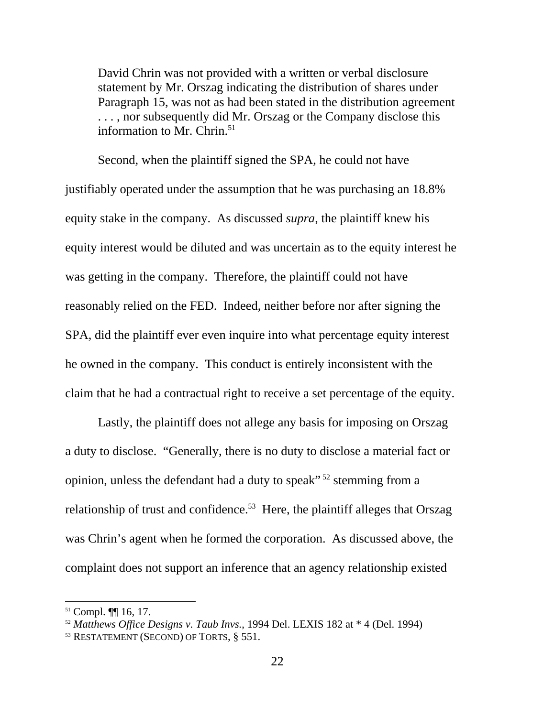David Chrin was not provided with a written or verbal disclosure statement by Mr. Orszag indicating the distribution of shares under Paragraph 15, was not as had been stated in the distribution agreement . . . , nor subsequently did Mr. Orszag or the Company disclose this information to Mr. Chrin. $51$ 

Second, when the plaintiff signed the SPA, he could not have justifiably operated under the assumption that he was purchasing an 18.8% equity stake in the company. As discussed *supra*, the plaintiff knew his equity interest would be diluted and was uncertain as to the equity interest he was getting in the company. Therefore, the plaintiff could not have reasonably relied on the FED. Indeed, neither before nor after signing the SPA, did the plaintiff ever even inquire into what percentage equity interest he owned in the company. This conduct is entirely inconsistent with the claim that he had a contractual right to receive a set percentage of the equity.

Lastly, the plaintiff does not allege any basis for imposing on Orszag a duty to disclose. "Generally, there is no duty to disclose a material fact or opinion, unless the defendant had a duty to speak"<sup>52</sup> stemming from a relationship of trust and confidence.<sup>53</sup> Here, the plaintiff alleges that Orszag was Chrin's agent when he formed the corporation. As discussed above, the complaint does not support an inference that an agency relationship existed

<sup>51</sup> Compl. ¶¶ 16, 17.

<sup>&</sup>lt;sup>52</sup> *Matthews Office Designs v. Taub Invs.*, 1994 Del. LEXIS 182 at  $*$  4 (Del. 1994)  $*$ <sup>33</sup> RESTATEMENT (SECOND) OF TORTS,  $§$  551.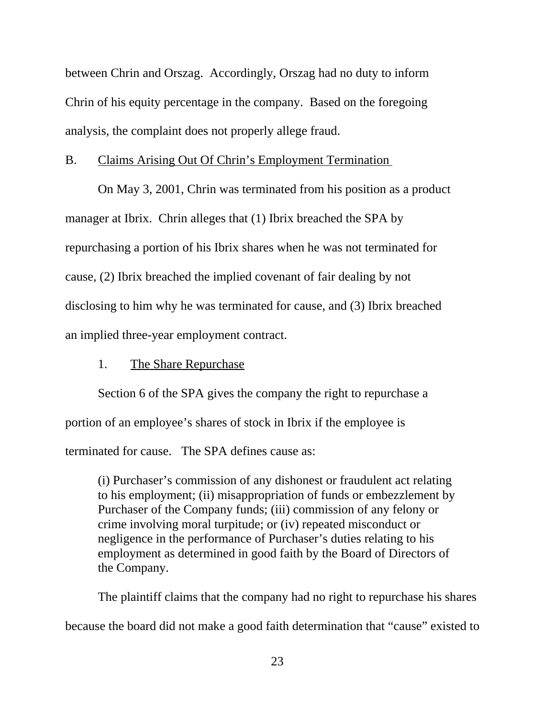between Chrin and Orszag. Accordingly, Orszag had no duty to inform Chrin of his equity percentage in the company. Based on the foregoing analysis, the complaint does not properly allege fraud.

## B. Claims Arising Out Of Chrin's Employment Termination

On May 3, 2001, Chrin was terminated from his position as a product manager at Ibrix. Chrin alleges that (1) Ibrix breached the SPA by repurchasing a portion of his Ibrix shares when he was not terminated for cause, (2) Ibrix breached the implied covenant of fair dealing by not disclosing to him why he was terminated for cause, and (3) Ibrix breached an implied three-year employment contract.

1. The Share Repurchase

Section 6 of the SPA gives the company the right to repurchase a

portion of an employee's shares of stock in Ibrix if the employee is

terminated for cause. The SPA defines cause as:

(i) Purchaser's commission of any dishonest or fraudulent act relating to his employment; (ii) misappropriation of funds or embezzlement by Purchaser of the Company funds; (iii) commission of any felony or crime involving moral turpitude; or (iv) repeated misconduct or negligence in the performance of Purchaser's duties relating to his employment as determined in good faith by the Board of Directors of the Company.

The plaintiff claims that the company had no right to repurchase his shares because the board did not make a good faith determination that "cause" existed to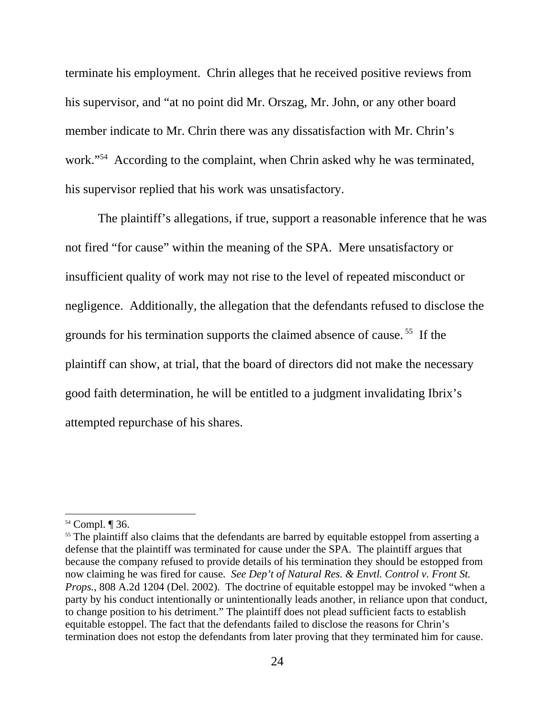terminate his employment. Chrin alleges that he received positive reviews from his supervisor, and "at no point did Mr. Orszag, Mr. John, or any other board member indicate to Mr. Chrin there was any dissatisfaction with Mr. Chrin's work."<sup>54</sup> According to the complaint, when Chrin asked why he was terminated, his supervisor replied that his work was unsatisfactory.

The plaintiff's allegations, if true, support a reasonable inference that he was not fired "for cause" within the meaning of the SPA. Mere unsatisfactory or insufficient quality of work may not rise to the level of repeated misconduct or negligence. Additionally, the allegation that the defendants refused to disclose the grounds for his termination supports the claimed absence of cause. 55 If the plaintiff can show, at trial, that the board of directors did not make the necessary good faith determination, he will be entitled to a judgment invalidating Ibrix's attempted repurchase of his shares.

<sup>54</sup> Compl. ¶ 36.

<sup>&</sup>lt;sup>55</sup> The plaintiff also claims that the defendants are barred by equitable estoppel from asserting a defense that the plaintiff was terminated for cause under the SPA. The plaintiff argues that because the company refused to provide details of his termination they should be estopped from now claiming he was fired for cause. *See Dep't of Natural Res. & Envtl. Control v. Front St. Props.*, 808 A.2d 1204 (Del. 2002). The doctrine of equitable estoppel may be invoked "when a party by his conduct intentionally or unintentionally leads another, in reliance upon that conduct, to change position to his detriment." The plaintiff does not plead sufficient facts to establish equitable estoppel. The fact that the defendants failed to disclose the reasons for Chrin's termination does not estop the defendants from later proving that they terminated him for cause.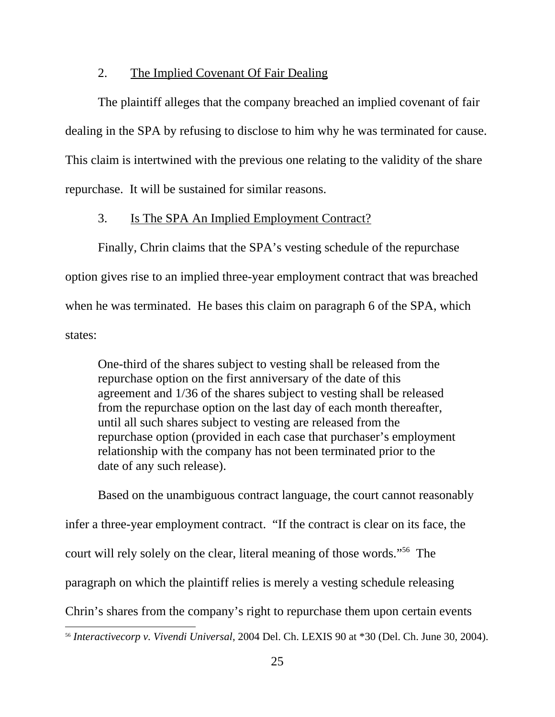## 2. The Implied Covenant Of Fair Dealing

The plaintiff alleges that the company breached an implied covenant of fair dealing in the SPA by refusing to disclose to him why he was terminated for cause. This claim is intertwined with the previous one relating to the validity of the share repurchase. It will be sustained for similar reasons.

## 3. Is The SPA An Implied Employment Contract?

Finally, Chrin claims that the SPA's vesting schedule of the repurchase option gives rise to an implied three-year employment contract that was breached when he was terminated. He bases this claim on paragraph 6 of the SPA, which states:

One-third of the shares subject to vesting shall be released from the repurchase option on the first anniversary of the date of this agreement and 1/36 of the shares subject to vesting shall be released from the repurchase option on the last day of each month thereafter, until all such shares subject to vesting are released from the repurchase option (provided in each case that purchaser's employment relationship with the company has not been terminated prior to the date of any such release).

Based on the unambiguous contract language, the court cannot reasonably infer a three-year employment contract. "If the contract is clear on its face, the court will rely solely on the clear, literal meaning of those words."56 The paragraph on which the plaintiff relies is merely a vesting schedule releasing Chrin's shares from the company's right to repurchase them upon certain events

<sup>56</sup> *Interactivecorp v. Vivendi Universal*, 2004 Del. Ch. LEXIS 90 at \*30 (Del. Ch. June 30, 2004).